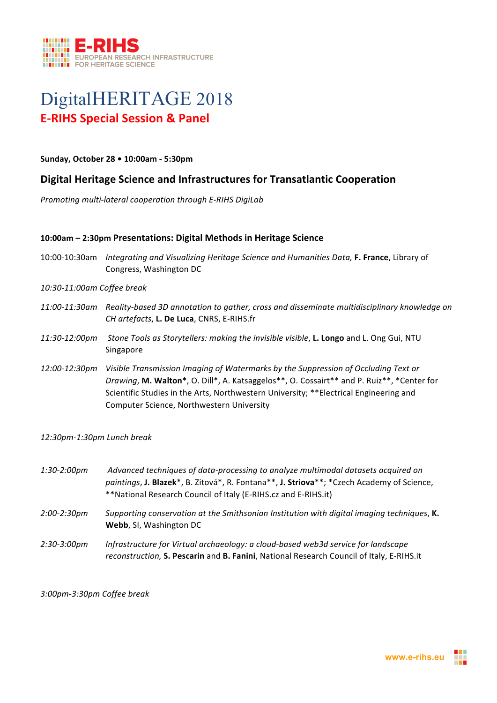

# DigitalHERITAGE 2018 **E-RIHS Special Session & Panel**

**Sunday, October 28 • 10:00am - 5:30pm**

## **Digital Heritage Science and Infrastructures for Transatlantic Cooperation**

*Promoting multi-lateral cooperation through E-RIHS DigiLab* 

#### **10:00am – 2:30pm Presentations: Digital Methods in Heritage Science**

- 10:00-10:30am *Integrating and Visualizing Heritage Science and Humanities Data,* F. France, Library of Congress, Washington DC
- *10:30-11:00am Coffee break*
- *11:00-11:30am Reality-based 3D annotation to gather, cross and disseminate multidisciplinary knowledge on CH artefacts*, **L. De Luca**, CNRS, E-RIHS.fr
- 11:30-12:00pm Stone Tools as Storytellers: making the invisible visible, **L. Longo** and L. Ong Gui, NTU Singapore
- 12:00-12:30pm Visible Transmission Imaging of Watermarks by the Suppression of Occluding Text or Drawing, M. Walton\*, O. Dill\*, A. Katsaggelos\*\*, O. Cossairt\*\* and P. Ruiz\*\*, \*Center for Scientific Studies in the Arts, Northwestern University; \*\* Electrical Engineering and Computer Science, Northwestern University

*12:30pm-1:30pm Lunch break*

*1:30-2:00pm Advanced techniques of data-processing to analyze multimodal datasets acquired on*  paintings, **J. Blazek**<sup>\*</sup>, B. Zitová<sup>\*</sup>, R. Fontana<sup>\*\*</sup>, **J. Striova**<sup>\*\*</sup>; \*Czech Academy of Science, \*\*National Research Council of Italy (E-RIHS.cz and E-RIHS.it) *2:00-2:30pm* Supporting conservation at the Smithsonian Institution with digital imaging techniques, **K.** Webb, SI, Washington DC 2:30-3:00pm Infrastructure for Virtual archaeology: a cloud-based web3d service for landscape *reconstruction,* **S. Pescarin** and **B. Fanini**, National Research Council of Italy, E-RIHS.it

#### *3:00pm-3:30pm Coffee break*